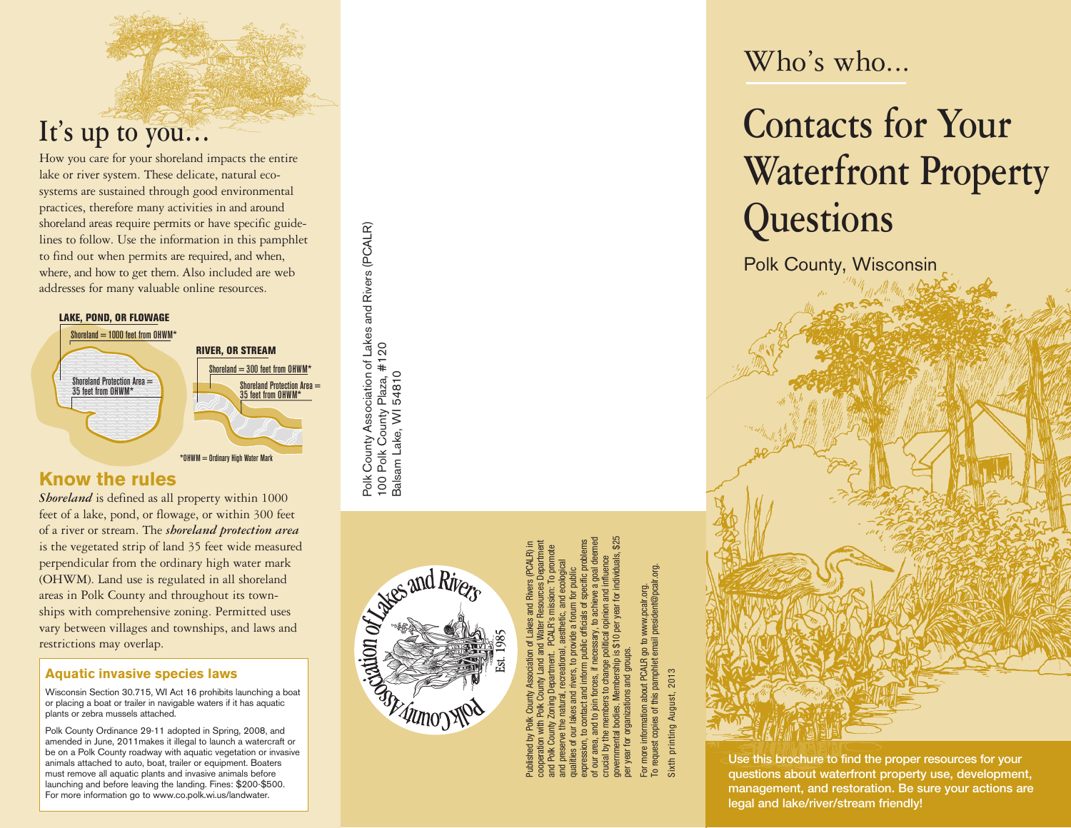## **It's up to you…**

How you care for your shoreland impacts the entire lake or river system. These delicate, natural eco systems are sustained through good environmental practices, therefore many activities in and around shoreland areas require permits or have specific guide lines to follow. Use the information in this pamphlet to find out when permits are required, and when, where, and how to get them. Also included are web addresses for many valuable online resources.

#### LAKE, POND, OR FLOWAGE



### **Know the rules**

*Shoreland* is defined as all property within 1000 feet of a lake, pond, or flowage, or within 300 feet of a river or stream. The *shoreland protection area* is the vegetated strip of land 35 feet wide measured perpendicular from the ordinary high water mark (OHWM). Land use is regulated in all shoreland areas in Polk County and throughout its town ships with comprehensive zoning. Permitted uses vary between villages and townships, and laws and restrictions may overlap.

#### **Aquatic invasive species laws**

Wisconsin Section 30.715, WI Act 16 prohibits launching a boat or placing a boat or trailer in navigable waters if it has aquatic plants or zebra mussels attached.

Polk County Ordinance 29-11 adopted in Spring, 2008, and amended in June, 2011makes it illegal to launch a watercraft or be on a Polk County roadway with aquatic vegetation or invasive animals attached to auto, boat, trailer or equipment. Boaters must remove all aquatic plants and invasive animals before launching and before leaving the landing. Fines: \$200-\$500. For more information go to www.co.polk.wi.us/landwater.

The and Rivers

Polk County Association of Lakes and Rivers (PCALR)

Polk County Association of Lakes and Rivers (PCALR)<br>100 Polk County Plaza, #120<br>Balsam Lake, WI 54810

100 Polk County Plaza, #120 Balsam Lake, WI 54810

> Published by Polk County Association of Lakes and Rivers (PCALR) in cooperation with Polk County Land and Water Resources Department and Polk County Zoning Department. PCALR's mission: To promote and preserve the natural, recreational, aesthetic, and ecological qualities of our lakes and rivers, to provide a forum for public expression, to contact and inform public officials of specific problems of our area, and to join forces, if necessary, to achieve a goal deemed crucial by the members to change political opinion and influence governmental bodies. Membership is \$10 per year for individuals, \$25 per year for organizations and groups.

To request copies of this pamphlet email president@pcalr.org. www.pcalr.org.<br>president@pcalr For more information about PCALR go to www.pcalr.org.  $\mathbf{g}$ about PCALR pamphlet of this copies For more in<br>To request

2013 Sixth printing August, 2013 printing August, Sixth

### Who's who...

# **Contacts for Your Waterfront Property Questions**

Polk County, Wisconsin

Use this brochure to find the proper resources for your questions about waterfront property use, development, management, and restoration. Be sure your actions are legal and lake/river/stream friendly!